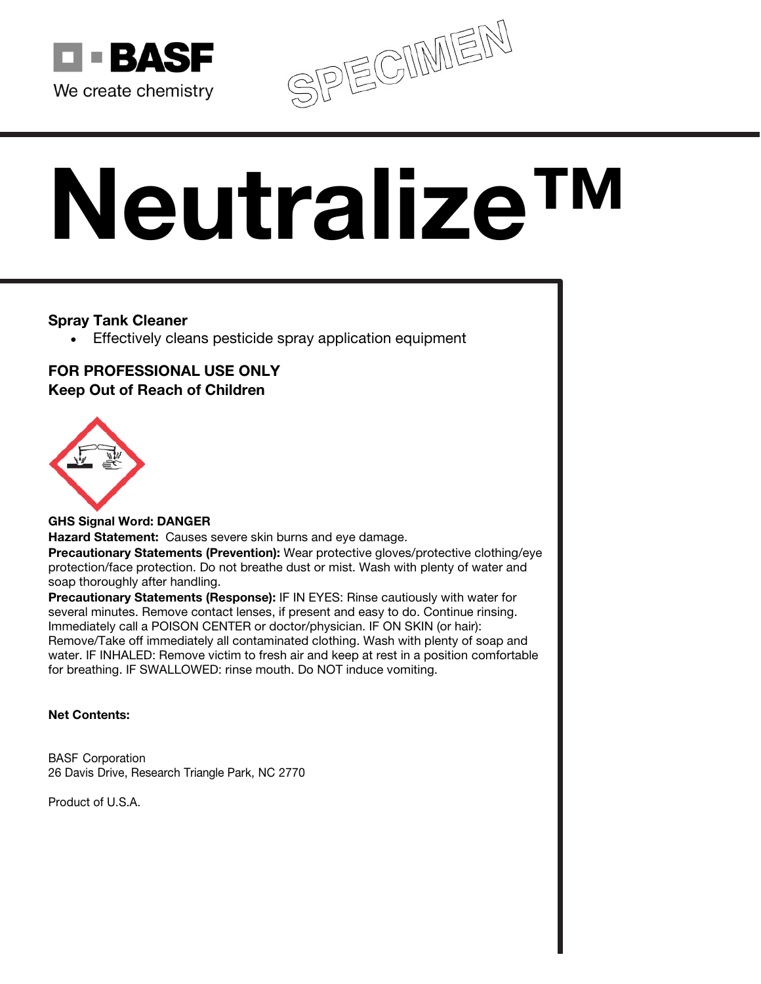

SPECIMEN

# Neutralize™

## Spray Tank Cleaner

• Effectively cleans pesticide spray application equipment

# FOR PROFESSIONAL USE ONLY Keep Out of Reach of Children



## GHS Signal Word: DANGER

Hazard Statement: Causes severe skin burns and eye damage.

Precautionary Statements (Prevention): Wear protective gloves/protective clothing/eye protection/face protection. Do not breathe dust or mist. Wash with plenty of water and soap thoroughly after handling.

Precautionary Statements (Response): IF IN EYES: Rinse cautiously with water for several minutes. Remove contact lenses, if present and easy to do. Continue rinsing. Immediately call a POISON CENTER or doctor/physician. IF ON SKIN (or hair): Remove/Take off immediately all contaminated clothing. Wash with plenty of soap and water. IF INHALED: Remove victim to fresh air and keep at rest in a position comfortable for breathing. IF SWALLOWED: rinse mouth. Do NOT induce vomiting.

## Net Contents:

BASF Corporation 26 Davis Drive, Research Triangle Park, NC 2770

Product of U.S.A.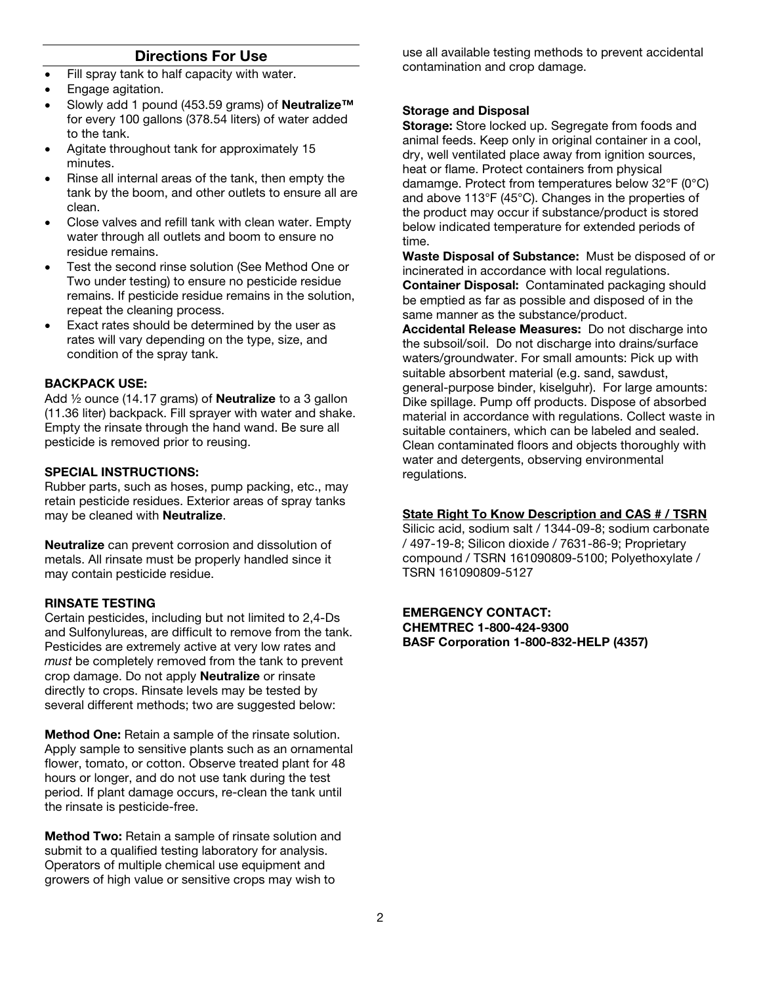### Directions For Use

- Fill spray tank to half capacity with water.
- Engage agitation.
- Slowly add 1 pound (453.59 grams) of Neutralize™ for every 100 gallons (378.54 liters) of water added to the tank.
- Agitate throughout tank for approximately 15 minutes.
- Rinse all internal areas of the tank, then empty the tank by the boom, and other outlets to ensure all are clean.
- Close valves and refill tank with clean water. Empty water through all outlets and boom to ensure no residue remains.
- Test the second rinse solution (See Method One or Two under testing) to ensure no pesticide residue remains. If pesticide residue remains in the solution, repeat the cleaning process.
- Exact rates should be determined by the user as rates will vary depending on the type, size, and condition of the spray tank.

#### BACKPACK USE:

Add  $\frac{1}{2}$  ounce (14.17 grams) of **Neutralize** to a 3 gallon (11.36 liter) backpack. Fill sprayer with water and shake. Empty the rinsate through the hand wand. Be sure all pesticide is removed prior to reusing.

#### SPECIAL INSTRUCTIONS:

Rubber parts, such as hoses, pump packing, etc., may retain pesticide residues. Exterior areas of spray tanks may be cleaned with Neutralize.

Neutralize can prevent corrosion and dissolution of metals. All rinsate must be properly handled since it may contain pesticide residue.

#### RINSATE TESTING

Certain pesticides, including but not limited to 2,4-Ds and Sulfonylureas, are difficult to remove from the tank. Pesticides are extremely active at very low rates and *must* be completely removed from the tank to prevent crop damage. Do not apply Neutralize or rinsate directly to crops. Rinsate levels may be tested by several different methods; two are suggested below:

Method One: Retain a sample of the rinsate solution. Apply sample to sensitive plants such as an ornamental flower, tomato, or cotton. Observe treated plant for 48 hours or longer, and do not use tank during the test period. If plant damage occurs, re-clean the tank until the rinsate is pesticide-free.

Method Two: Retain a sample of rinsate solution and submit to a qualified testing laboratory for analysis. Operators of multiple chemical use equipment and growers of high value or sensitive crops may wish to

use all available testing methods to prevent accidental contamination and crop damage.

#### Storage and Disposal

Storage: Store locked up. Segregate from foods and animal feeds. Keep only in original container in a cool, dry, well ventilated place away from ignition sources, heat or flame. Protect containers from physical damamge. Protect from temperatures below 32°F (0°C) and above 113°F (45°C). Changes in the properties of the product may occur if substance/product is stored below indicated temperature for extended periods of time.

Waste Disposal of Substance: Must be disposed of or incinerated in accordance with local regulations. Container Disposal: Contaminated packaging should be emptied as far as possible and disposed of in the same manner as the substance/product.

Accidental Release Measures: Do not discharge into the subsoil/soil. Do not discharge into drains/surface waters/groundwater. For small amounts: Pick up with suitable absorbent material (e.g. sand, sawdust, general-purpose binder, kiselguhr). For large amounts: Dike spillage. Pump off products. Dispose of absorbed material in accordance with regulations. Collect waste in suitable containers, which can be labeled and sealed. Clean contaminated floors and objects thoroughly with water and detergents, observing environmental regulations.

#### State Right To Know Description and CAS # / TSRN

Silicic acid, sodium salt / 1344-09-8; sodium carbonate / 497-19-8; Silicon dioxide / 7631-86-9; Proprietary compound / TSRN 161090809-5100; Polyethoxylate / TSRN 161090809-5127

EMERGENCY CONTACT: CHEMTREC 1-800-424-9300 BASF Corporation 1-800-832-HELP (4357)